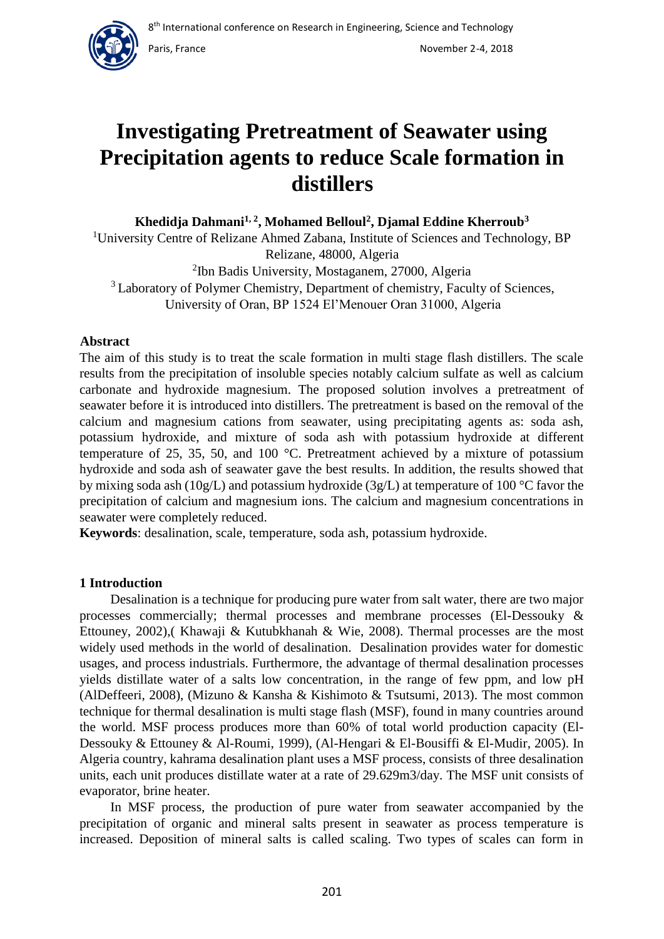

Paris, France November 2-4, 2018

# **Investigating Pretreatment of Seawater using Precipitation agents to reduce Scale formation in distillers**

**Khedidja Dahmani1, 2, Mohamed Belloul<sup>2</sup> , Djamal Eddine Kherroub<sup>3</sup>**

<sup>1</sup>University Centre of Relizane Ahmed Zabana, Institute of Sciences and Technology, BP Relizane, 48000, Algeria

<sup>2</sup>Ibn Badis University, Mostaganem, 27000, Algeria <sup>3</sup> Laboratory of Polymer Chemistry, Department of chemistry, Faculty of Sciences, University of Oran, BP 1524 El'Menouer Oran 31000, Algeria

# **Abstract**

The aim of this study is to treat the scale formation in multi stage flash distillers. The scale results from the precipitation of insoluble species notably calcium sulfate as well as calcium carbonate and hydroxide magnesium. The proposed solution involves a pretreatment of seawater before it is introduced into distillers. The pretreatment is based on the removal of the calcium and magnesium cations from seawater, using precipitating agents as: soda ash, potassium hydroxide, and mixture of soda ash with potassium hydroxide at different temperature of 25, 35, 50, and 100 °C. Pretreatment achieved by a mixture of potassium hydroxide and soda ash of seawater gave the best results. In addition, the results showed that by mixing soda ash (10g/L) and potassium hydroxide (3g/L) at temperature of 100 °C favor the precipitation of calcium and magnesium ions. The calcium and magnesium concentrations in seawater were completely reduced.

**Keywords**: desalination, scale, temperature, soda ash, potassium hydroxide.

# **1 Introduction**

Desalination is a technique for producing pure water from salt water, there are two major processes commercially; thermal processes and membrane processes (El-Dessouky & Ettouney, 2002),( Khawaji & Kutubkhanah & Wie, 2008). Thermal processes are the most widely used methods in the world of desalination. Desalination provides water for domestic usages, and process industrials. Furthermore, the advantage of thermal desalination processes yields distillate water of a salts low concentration, in the range of few ppm, and low pH (AlDeffeeri, 2008), (Mizuno & Kansha & Kishimoto & Tsutsumi, 2013). The most common technique for thermal desalination is multi stage flash (MSF), found in many countries around the world. MSF process produces more than 60% of total world production capacity (El-Dessouky & Ettouney & Al-Roumi, 1999), (Al-Hengari & El-Bousiffi & El-Mudir, 2005). In Algeria country, kahrama desalination plant uses a MSF process, consists of three desalination units, each unit produces distillate water at a rate of 29.629m3/day. The MSF unit consists of evaporator, brine heater.

In MSF process, the production of pure water from seawater accompanied by the precipitation of organic and mineral salts present in seawater as process temperature is increased. Deposition of mineral salts is called scaling. Two types of scales can form in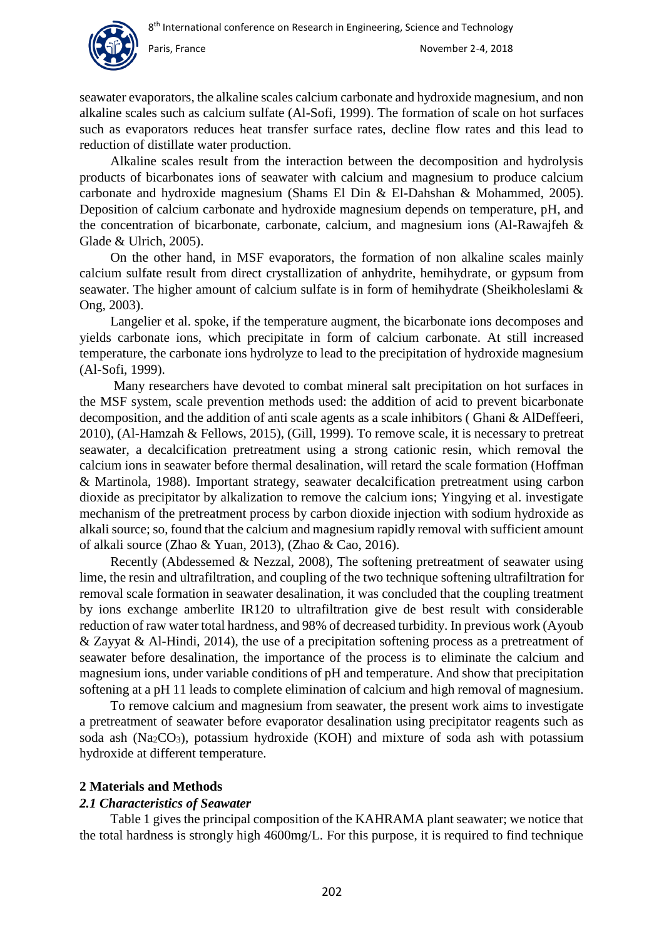seawater evaporators, the alkaline scales calcium carbonate and hydroxide magnesium, and non alkaline scales such as calcium sulfate (Al-Sofi, 1999). The formation of scale on hot surfaces such as evaporators reduces heat transfer surface rates, decline flow rates and this lead to reduction of distillate water production.

Alkaline scales result from the interaction between the decomposition and hydrolysis products of bicarbonates ions of seawater with calcium and magnesium to produce calcium carbonate and hydroxide magnesium (Shams El Din & El-Dahshan & Mohammed, 2005). Deposition of calcium carbonate and hydroxide magnesium depends on temperature, pH, and the concentration of bicarbonate, carbonate, calcium, and magnesium ions (Al-Rawajfeh & Glade & Ulrich, 2005).

On the other hand, in MSF evaporators, the formation of non alkaline scales mainly calcium sulfate result from direct crystallization of anhydrite, hemihydrate, or gypsum from seawater. The higher amount of calcium sulfate is in form of hemihydrate (Sheikholeslami & Ong, 2003).

Langelier et al. spoke, if the temperature augment, the bicarbonate ions decomposes and yields carbonate ions, which precipitate in form of calcium carbonate. At still increased temperature, the carbonate ions hydrolyze to lead to the precipitation of hydroxide magnesium (Al-Sofi, 1999).

Many researchers have devoted to combat mineral salt precipitation on hot surfaces in the MSF system, scale prevention methods used: the addition of acid to prevent bicarbonate decomposition, and the addition of anti scale agents as a scale inhibitors ( Ghani & AlDeffeeri, 2010), (Al-Hamzah & Fellows, 2015), (Gill, 1999). To remove scale, it is necessary to pretreat seawater, a decalcification pretreatment using a strong cationic resin, which removal the calcium ions in seawater before thermal desalination, will retard the scale formation (Hoffman & Martinola, 1988). Important strategy, seawater decalcification pretreatment using carbon dioxide as precipitator by alkalization to remove the calcium ions; Yingying et al. investigate mechanism of the pretreatment process by carbon dioxide injection with sodium hydroxide as alkali source; so, found that the calcium and magnesium rapidly removal with sufficient amount of alkali source (Zhao & Yuan, 2013), (Zhao & Cao, 2016).

Recently (Abdessemed & Nezzal, 2008), The softening pretreatment of seawater using lime, the resin and ultrafiltration, and coupling of the two technique softening ultrafiltration for removal scale formation in seawater desalination, it was concluded that the coupling treatment by ions exchange amberlite IR120 to ultrafiltration give de best result with considerable reduction of raw water total hardness, and 98% of decreased turbidity. In previous work (Ayoub & Zayyat & Al-Hindi, 2014), the use of a precipitation softening process as a pretreatment of seawater before desalination, the importance of the process is to eliminate the calcium and magnesium ions, under variable conditions of pH and temperature. And show that precipitation softening at a pH 11 leads to complete elimination of calcium and high removal of magnesium.

To remove calcium and magnesium from seawater, the present work aims to investigate a pretreatment of seawater before evaporator desalination using precipitator reagents such as soda ash ( $Na<sub>2</sub>CO<sub>3</sub>$ ), potassium hydroxide (KOH) and mixture of soda ash with potassium hydroxide at different temperature.

# **2 Materials and Methods**

#### *2.1 Characteristics of Seawater*

Table 1 gives the principal composition of the KAHRAMA plant seawater; we notice that the total hardness is strongly high 4600mg/L. For this purpose, it is required to find technique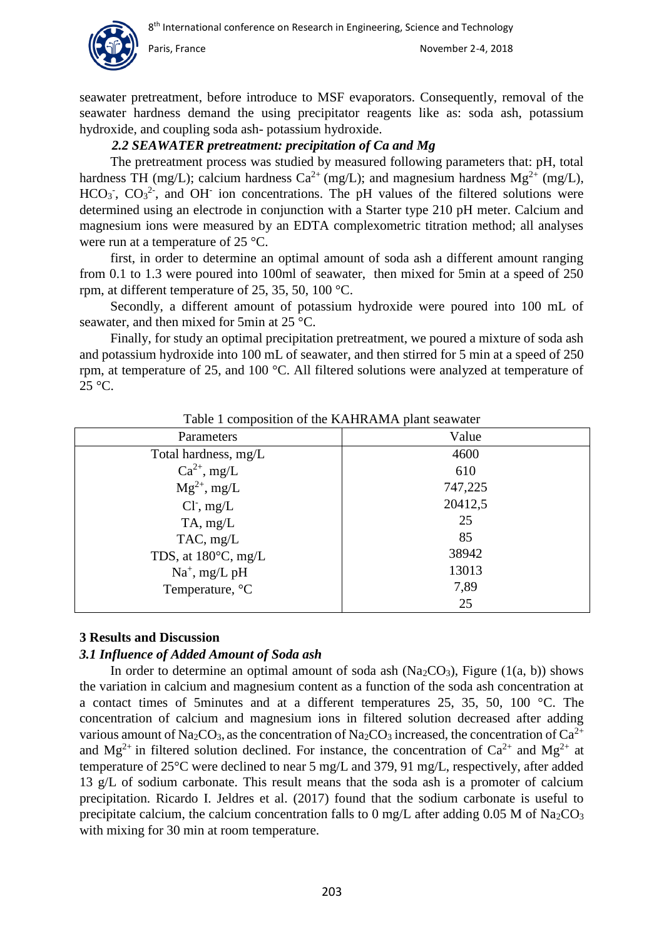seawater pretreatment, before introduce to MSF evaporators. Consequently, removal of the seawater hardness demand the using precipitator reagents like as: soda ash, potassium hydroxide, and coupling soda ash- potassium hydroxide.

#### *2.2 SEAWATER pretreatment: precipitation of Ca and Mg*

The pretreatment process was studied by measured following parameters that: pH, total hardness TH (mg/L); calcium hardness  $Ca^{2+}$  (mg/L); and magnesium hardness  $Mg^{2+}$  (mg/L), HCO<sub>3</sub><sup>-</sup>, CO<sub>3</sub><sup>2</sup>-, and OH<sup>-</sup> ion concentrations. The pH values of the filtered solutions were determined using an electrode in conjunction with a Starter type 210 pH meter. Calcium and magnesium ions were measured by an EDTA complexometric titration method; all analyses were run at a temperature of 25 °C.

first, in order to determine an optimal amount of soda ash a different amount ranging from 0.1 to 1.3 were poured into 100ml of seawater, then mixed for 5min at a speed of 250 rpm, at different temperature of 25, 35, 50, 100 °C.

Secondly, a different amount of potassium hydroxide were poured into 100 mL of seawater, and then mixed for 5min at 25 °C.

Finally, for study an optimal precipitation pretreatment, we poured a mixture of soda ash and potassium hydroxide into 100 mL of seawater, and then stirred for 5 min at a speed of 250 rpm, at temperature of 25, and 100 °C. All filtered solutions were analyzed at temperature of  $25 \text{ °C}$ .

| Parameters                    | Value   |
|-------------------------------|---------|
| Total hardness, mg/L          | 4600    |
| $Ca^{2+}$ , mg/L              | 610     |
| $Mg^{2+}$ , mg/L              | 747,225 |
| $Cl^-$ , mg/L                 | 20412,5 |
| TA, mg/L                      | 25      |
| $TAC$ , mg/L                  | 85      |
| TDS, at $180^{\circ}$ C, mg/L | 38942   |
| $Na^+$ , mg/L pH              | 13013   |
| Temperature, °C               | 7,89    |
|                               | 25      |

Table 1 composition of the KAHRAMA plant seawater

#### **3 Results and Discussion**

#### *3.1 Influence of Added Amount of Soda ash*

In order to determine an optimal amount of soda ash  $(Na<sub>2</sub>CO<sub>3</sub>)$ , Figure  $(1(a, b))$  shows the variation in calcium and magnesium content as a function of the soda ash concentration at a contact times of 5minutes and at a different temperatures 25, 35, 50, 100 °C. The concentration of calcium and magnesium ions in filtered solution decreased after adding various amount of Na<sub>2</sub>CO<sub>3</sub>, as the concentration of Na<sub>2</sub>CO<sub>3</sub> increased, the concentration of Ca<sup>2+</sup> and  $Mg^{2+}$  in filtered solution declined. For instance, the concentration of  $Ca^{2+}$  and  $Mg^{2+}$  at temperature of 25°C were declined to near 5 mg/L and 379, 91 mg/L, respectively, after added 13 g/L of sodium carbonate. This result means that the soda ash is a promoter of calcium precipitation. Ricardo I. Jeldres et al. (2017) found that the sodium carbonate is useful to precipitate calcium, the calcium concentration falls to 0 mg/L after adding 0.05 M of Na<sub>2</sub>CO<sub>3</sub> with mixing for 30 min at room temperature.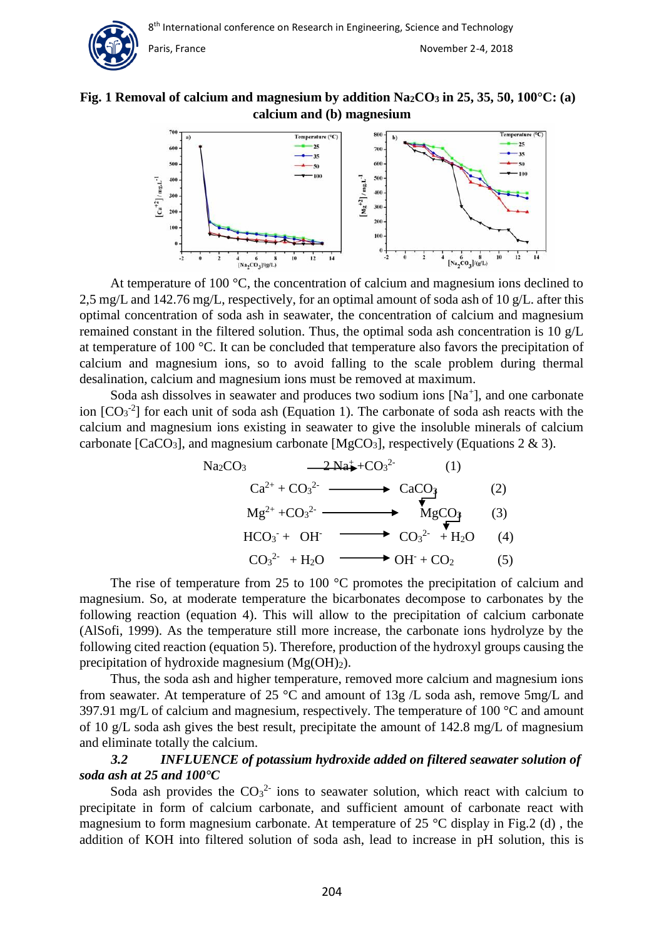



At temperature of 100 °C, the concentration of calcium and magnesium ions declined to 2,5 mg/L and 142.76 mg/L, respectively, for an optimal amount of soda ash of 10 g/L. after this optimal concentration of soda ash in seawater, the concentration of calcium and magnesium remained constant in the filtered solution. Thus, the optimal soda ash concentration is 10 g/L at temperature of 100 °C. It can be concluded that temperature also favors the precipitation of calcium and magnesium ions, so to avoid falling to the scale problem during thermal desalination, calcium and magnesium ions must be removed at maximum.

Soda ash dissolves in seawater and produces two sodium ions [Na<sup>+</sup>], and one carbonate ion  $[CO<sub>3</sub><sup>-2</sup>]$  for each unit of soda ash (Equation 1). The carbonate of soda ash reacts with the calcium and magnesium ions existing in seawater to give the insoluble minerals of calcium carbonate [CaCO<sub>3</sub>], and magnesium carbonate [MgCO<sub>3</sub>], respectively (Equations 2 & 3).

$$
Na2CO3 \longrightarrow 2Na4+CO32- (1)
$$
  
\n
$$
Ca2+ + CO32- \longrightarrow CaCO3 (2)
$$
  
\n
$$
Mg2+ + CO32- \longrightarrow MgCO3 (3)
$$
  
\n
$$
HCO3 + OH- \longrightarrow CO32- + H2O (4)
$$
  
\n
$$
CO32- + H2O \longrightarrow OH- + CO2 (5)
$$

The rise of temperature from 25 to 100 °C promotes the precipitation of calcium and magnesium. So, at moderate temperature the bicarbonates decompose to carbonates by the following reaction (equation 4). This will allow to the precipitation of calcium carbonate (AlSofi, 1999). As the temperature still more increase, the carbonate ions hydrolyze by the following cited reaction (equation 5). Therefore, production of the hydroxyl groups causing the precipitation of hydroxide magnesium (Mg(OH)2).

Thus, the soda ash and higher temperature, removed more calcium and magnesium ions from seawater. At temperature of 25 °C and amount of 13g /L soda ash, remove 5mg/L and 397.91 mg/L of calcium and magnesium, respectively. The temperature of  $100^{\circ}$ C and amount of 10 g/L soda ash gives the best result, precipitate the amount of 142.8 mg/L of magnesium and eliminate totally the calcium.

### *3.2 INFLUENCE of potassium hydroxide added on filtered seawater solution of soda ash at 25 and 100°C*

Soda ash provides the  $CO<sub>3</sub><sup>2</sup>$  ions to seawater solution, which react with calcium to precipitate in form of calcium carbonate, and sufficient amount of carbonate react with magnesium to form magnesium carbonate. At temperature of 25  $^{\circ}$ C display in Fig. 2 (d), the addition of KOH into filtered solution of soda ash, lead to increase in pH solution, this is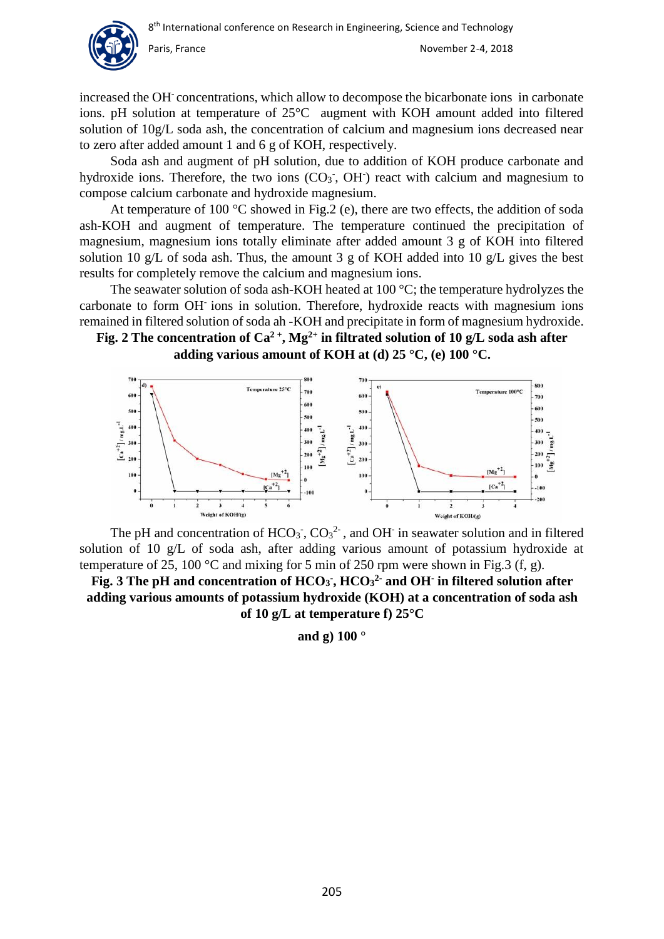

increased the OH-concentrations, which allow to decompose the bicarbonate ions in carbonate ions. pH solution at temperature of 25°C augment with KOH amount added into filtered solution of 10g/L soda ash, the concentration of calcium and magnesium ions decreased near to zero after added amount 1 and 6 g of KOH, respectively.

Soda ash and augment of pH solution, due to addition of KOH produce carbonate and hydroxide ions. Therefore, the two ions  $(CO<sub>3</sub>, OH<sup>-</sup>)$  react with calcium and magnesium to compose calcium carbonate and hydroxide magnesium.

At temperature of 100  $^{\circ}$ C showed in Fig. 2 (e), there are two effects, the addition of soda ash-KOH and augment of temperature. The temperature continued the precipitation of magnesium, magnesium ions totally eliminate after added amount 3 g of KOH into filtered solution 10 g/L of soda ash. Thus, the amount 3 g of KOH added into 10 g/L gives the best results for completely remove the calcium and magnesium ions.

The seawater solution of soda ash-KOH heated at 100 °C; the temperature hydrolyzes the carbonate to form OH-ions in solution. Therefore, hydroxide reacts with magnesium ions remained in filtered solution of soda ah -KOH and precipitate in form of magnesium hydroxide.

**Fig. 2** The concentration of  $Ca^{2+}$ ,  $Mg^{2+}$  in filtrated solution of 10 g/L soda ash after **adding various amount of KOH at (d) 25 °C, (e) 100 °C.** 



The pH and concentration of  $HCO_3$ <sup>-</sup>, CO<sub>3</sub><sup>2</sup>-, and OH<sup>-</sup> in seawater solution and in filtered solution of 10 g/L of soda ash, after adding various amount of potassium hydroxide at temperature of 25, 100 °C and mixing for 5 min of 250 rpm were shown in Fig.3 (f, g).

**Fig. 3 The pH and concentration of HCO<sup>3</sup> - , HCO<sup>3</sup> 2- and OH-in filtered solution after adding various amounts of potassium hydroxide (KOH) at a concentration of soda ash of 10 g/L at temperature f) 25°C** 

**and g) 100 °**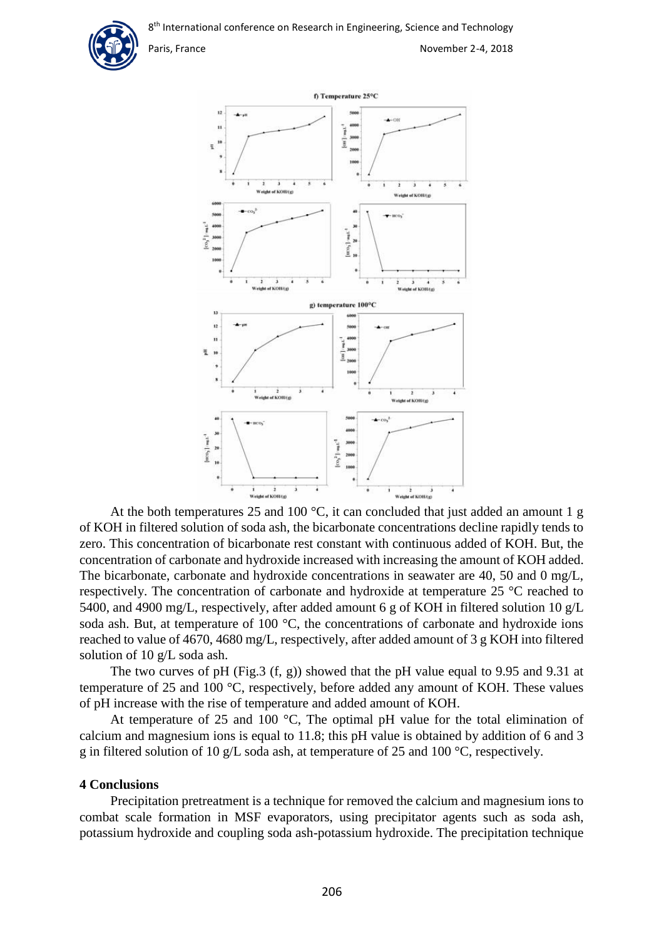

Paris, France **November 2-4, 2018** 



At the both temperatures 25 and 100  $^{\circ}$ C, it can concluded that just added an amount 1 g of KOH in filtered solution of soda ash, the bicarbonate concentrations decline rapidly tends to zero. This concentration of bicarbonate rest constant with continuous added of KOH. But, the concentration of carbonate and hydroxide increased with increasing the amount of KOH added. The bicarbonate, carbonate and hydroxide concentrations in seawater are 40, 50 and 0 mg/L, respectively. The concentration of carbonate and hydroxide at temperature 25 °C reached to 5400, and 4900 mg/L, respectively, after added amount 6 g of KOH in filtered solution 10 g/L soda ash. But, at temperature of 100 °C, the concentrations of carbonate and hydroxide ions reached to value of 4670, 4680 mg/L, respectively, after added amount of 3 g KOH into filtered solution of 10 g/L soda ash.

The two curves of pH (Fig.3 (f, g)) showed that the pH value equal to 9.95 and 9.31 at temperature of 25 and 100 °C, respectively, before added any amount of KOH. These values of pH increase with the rise of temperature and added amount of KOH.

At temperature of 25 and 100  $^{\circ}$ C, The optimal pH value for the total elimination of calcium and magnesium ions is equal to 11.8; this pH value is obtained by addition of 6 and 3 g in filtered solution of 10 g/L soda ash, at temperature of 25 and 100 °C, respectively.

#### **4 Conclusions**

Precipitation pretreatment is a technique for removed the calcium and magnesium ions to combat scale formation in MSF evaporators, using precipitator agents such as soda ash, potassium hydroxide and coupling soda ash-potassium hydroxide. The precipitation technique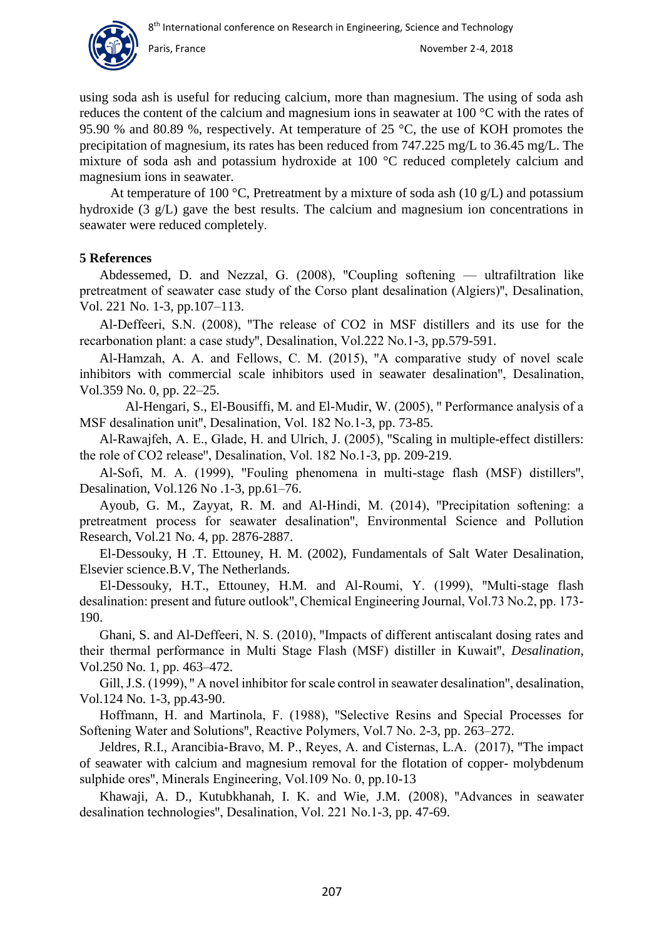

using soda ash is useful for reducing calcium, more than magnesium. The using of soda ash reduces the content of the calcium and magnesium ions in seawater at 100 °C with the rates of 95.90 % and 80.89 %, respectively. At temperature of 25 °C, the use of KOH promotes the precipitation of magnesium, its rates has been reduced from 747.225 mg/L to 36.45 mg/L. The mixture of soda ash and potassium hydroxide at 100 °C reduced completely calcium and magnesium ions in seawater.

At temperature of 100 °C, Pretreatment by a mixture of soda ash (10  $g/L$ ) and potassium hydroxide (3 g/L) gave the best results. The calcium and magnesium ion concentrations in seawater were reduced completely.

### **5 References**

Abdessemed, D. and Nezzal, G.  $(2008)$ , "Coupling softening — ultrafiltration like pretreatment of seawater case study of the Corso plant desalination (Algiers)", Desalination, Vol. 221 No. 1-3, pp.107–113.

Al-Deffeeri, S.N. (2008), "The release of CO2 in MSF distillers and its use for the recarbonation plant: a case study", Desalination, Vol.222 No.1-3, pp.579-591.

Al-Hamzah, A. A. and Fellows, C. M. (2015), "A comparative study of novel scale inhibitors with commercial scale inhibitors used in seawater desalination", Desalination, Vol.359 No. 0, pp. 22–25.

Al-Hengari, S., El-Bousiffi, M. and El-Mudir, W. (2005), " Performance analysis of a MSF desalination unit", Desalination, Vol. 182 No.1-3, pp. 73-85.

Al-Rawajfeh, A. E., Glade, H. and Ulrich, J. (2005), "Scaling in multiple-effect distillers: the role of CO2 release", Desalination, Vol. 182 No.1-3, pp. 209-219.

Al-Sofi, M. A. (1999), "Fouling phenomena in multi-stage flash (MSF) distillers", Desalination, Vol.126 No .1-3, pp.61–76.

Ayoub, G. M., Zayyat, R. M. and Al-Hindi, M. (2014), "Precipitation softening: a pretreatment process for seawater desalination", Environmental Science and Pollution Research, Vol.21 No. 4, pp. 2876-2887.

El-Dessouky, H .T. Ettouney, H. M. (2002), Fundamentals of Salt Water Desalination, Elsevier science.B.V, The Netherlands.

El-Dessouky, H.T., Ettouney, H.M. and Al-Roumi, Y. (1999), "Multi-stage flash desalination: present and future outlook", Chemical Engineering Journal, Vol.73 No.2, pp. 173-190.

Ghani, S. and Al-Deffeeri, N. S. (2010), "Impacts of different antiscalant dosing rates and their thermal performance in Multi Stage Flash (MSF) distiller in Kuwait", *Desalination*, Vol.250 No. 1, pp. 463–472.

Gill, J.S. (1999), "A novel inhibitor for scale control in seawater desalination", desalination, Vol.124 No. 1-3, pp.43-90.

Hoffmann, H. and Martinola, F. (1988), "Selective Resins and Special Processes for Softening Water and Solutions", Reactive Polymers, Vol.7 No. 2-3, pp. 263–272.

Jeldres, R.I., Arancibia-Bravo, M. P., Reyes, A. and Cisternas, L.A. (2017), "The impact of seawater with calcium and magnesium removal for the flotation of copper- molybdenum sulphide ores", Minerals Engineering, Vol.109 No. 0, pp.10-13

Khawaji, A. D., Kutubkhanah, I. K. and Wie, J.M. (2008), "Advances in seawater desalination technologies", Desalination, Vol. 221 No.1-3, pp. 47-69.